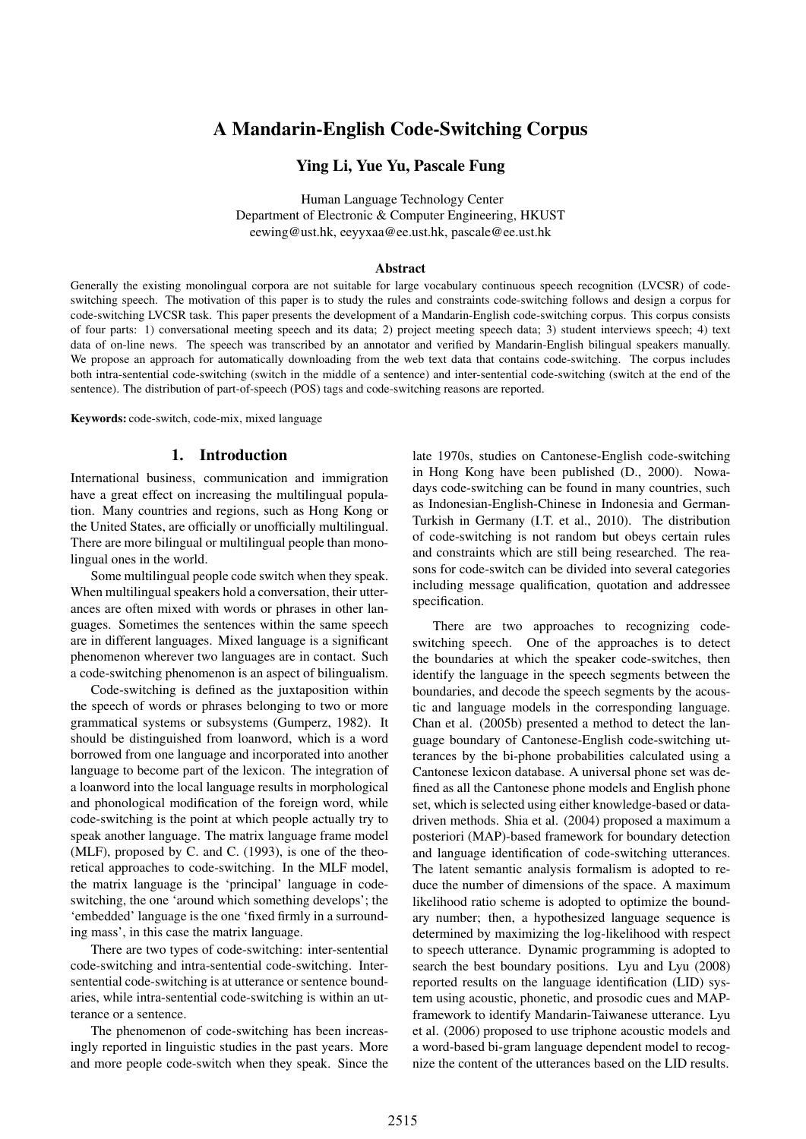# A Mandarin-English Code-Switching Corpus

### Ying Li, Yue Yu, Pascale Fung

Human Language Technology Center Department of Electronic & Computer Engineering, HKUST eewing@ust.hk, eeyyxaa@ee.ust.hk, pascale@ee.ust.hk

#### Abstract

Generally the existing monolingual corpora are not suitable for large vocabulary continuous speech recognition (LVCSR) of codeswitching speech. The motivation of this paper is to study the rules and constraints code-switching follows and design a corpus for code-switching LVCSR task. This paper presents the development of a Mandarin-English code-switching corpus. This corpus consists of four parts: 1) conversational meeting speech and its data; 2) project meeting speech data; 3) student interviews speech; 4) text data of on-line news. The speech was transcribed by an annotator and verified by Mandarin-English bilingual speakers manually. We propose an approach for automatically downloading from the web text data that contains code-switching. The corpus includes both intra-sentential code-switching (switch in the middle of a sentence) and inter-sentential code-switching (switch at the end of the sentence). The distribution of part-of-speech (POS) tags and code-switching reasons are reported.

Keywords: code-switch, code-mix, mixed language

#### 1. Introduction

International business, communication and immigration have a great effect on increasing the multilingual population. Many countries and regions, such as Hong Kong or the United States, are officially or unofficially multilingual. There are more bilingual or multilingual people than monolingual ones in the world.

Some multilingual people code switch when they speak. When multilingual speakers hold a conversation, their utterances are often mixed with words or phrases in other languages. Sometimes the sentences within the same speech are in different languages. Mixed language is a significant phenomenon wherever two languages are in contact. Such a code-switching phenomenon is an aspect of bilingualism.

Code-switching is defined as the juxtaposition within the speech of words or phrases belonging to two or more grammatical systems or subsystems (Gumperz, 1982). It should be distinguished from loanword, which is a word borrowed from one language and incorporated into another language to become part of the lexicon. The integration of a loanword into the local language results in morphological and phonological modification of the foreign word, while code-switching is the point at which people actually try to speak another language. The matrix language frame model (MLF), proposed by C. and C. (1993), is one of the theoretical approaches to code-switching. In the MLF model, the matrix language is the 'principal' language in codeswitching, the one 'around which something develops'; the 'embedded' language is the one 'fixed firmly in a surrounding mass', in this case the matrix language.

There are two types of code-switching: inter-sentential code-switching and intra-sentential code-switching. Intersentential code-switching is at utterance or sentence boundaries, while intra-sentential code-switching is within an utterance or a sentence.

The phenomenon of code-switching has been increasingly reported in linguistic studies in the past years. More and more people code-switch when they speak. Since the late 1970s, studies on Cantonese-English code-switching in Hong Kong have been published (D., 2000). Nowadays code-switching can be found in many countries, such as Indonesian-English-Chinese in Indonesia and German-Turkish in Germany (I.T. et al., 2010). The distribution of code-switching is not random but obeys certain rules and constraints which are still being researched. The reasons for code-switch can be divided into several categories including message qualification, quotation and addressee specification.

There are two approaches to recognizing codeswitching speech. One of the approaches is to detect the boundaries at which the speaker code-switches, then identify the language in the speech segments between the boundaries, and decode the speech segments by the acoustic and language models in the corresponding language. Chan et al. (2005b) presented a method to detect the language boundary of Cantonese-English code-switching utterances by the bi-phone probabilities calculated using a Cantonese lexicon database. A universal phone set was defined as all the Cantonese phone models and English phone set, which is selected using either knowledge-based or datadriven methods. Shia et al. (2004) proposed a maximum a posteriori (MAP)-based framework for boundary detection and language identification of code-switching utterances. The latent semantic analysis formalism is adopted to reduce the number of dimensions of the space. A maximum likelihood ratio scheme is adopted to optimize the boundary number; then, a hypothesized language sequence is determined by maximizing the log-likelihood with respect to speech utterance. Dynamic programming is adopted to search the best boundary positions. Lyu and Lyu (2008) reported results on the language identification (LID) system using acoustic, phonetic, and prosodic cues and MAPframework to identify Mandarin-Taiwanese utterance. Lyu et al. (2006) proposed to use triphone acoustic models and a word-based bi-gram language dependent model to recognize the content of the utterances based on the LID results.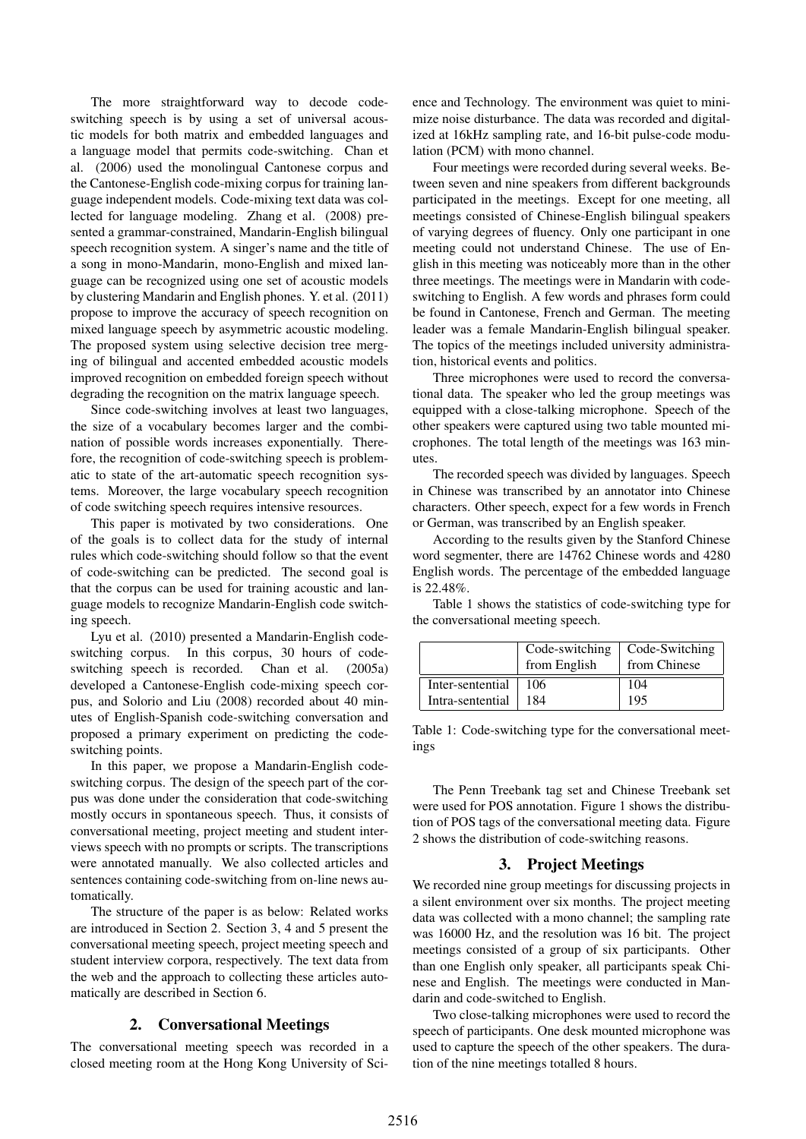The more straightforward way to decode codeswitching speech is by using a set of universal acoustic models for both matrix and embedded languages and a language model that permits code-switching. Chan et al. (2006) used the monolingual Cantonese corpus and the Cantonese-English code-mixing corpus for training language independent models. Code-mixing text data was collected for language modeling. Zhang et al. (2008) presented a grammar-constrained, Mandarin-English bilingual speech recognition system. A singer's name and the title of a song in mono-Mandarin, mono-English and mixed language can be recognized using one set of acoustic models by clustering Mandarin and English phones. Y. et al. (2011) propose to improve the accuracy of speech recognition on mixed language speech by asymmetric acoustic modeling. The proposed system using selective decision tree merging of bilingual and accented embedded acoustic models improved recognition on embedded foreign speech without degrading the recognition on the matrix language speech.

Since code-switching involves at least two languages, the size of a vocabulary becomes larger and the combination of possible words increases exponentially. Therefore, the recognition of code-switching speech is problematic to state of the art-automatic speech recognition systems. Moreover, the large vocabulary speech recognition of code switching speech requires intensive resources.

This paper is motivated by two considerations. One of the goals is to collect data for the study of internal rules which code-switching should follow so that the event of code-switching can be predicted. The second goal is that the corpus can be used for training acoustic and language models to recognize Mandarin-English code switching speech.

Lyu et al. (2010) presented a Mandarin-English codeswitching corpus. In this corpus, 30 hours of codeswitching speech is recorded. Chan et al. (2005a) developed a Cantonese-English code-mixing speech corpus, and Solorio and Liu (2008) recorded about 40 minutes of English-Spanish code-switching conversation and proposed a primary experiment on predicting the codeswitching points.

In this paper, we propose a Mandarin-English codeswitching corpus. The design of the speech part of the corpus was done under the consideration that code-switching mostly occurs in spontaneous speech. Thus, it consists of conversational meeting, project meeting and student interviews speech with no prompts or scripts. The transcriptions were annotated manually. We also collected articles and sentences containing code-switching from on-line news automatically.

The structure of the paper is as below: Related works are introduced in Section 2. Section 3, 4 and 5 present the conversational meeting speech, project meeting speech and student interview corpora, respectively. The text data from the web and the approach to collecting these articles automatically are described in Section 6.

### 2. Conversational Meetings

The conversational meeting speech was recorded in a closed meeting room at the Hong Kong University of Science and Technology. The environment was quiet to minimize noise disturbance. The data was recorded and digitalized at 16kHz sampling rate, and 16-bit pulse-code modulation (PCM) with mono channel.

Four meetings were recorded during several weeks. Between seven and nine speakers from different backgrounds participated in the meetings. Except for one meeting, all meetings consisted of Chinese-English bilingual speakers of varying degrees of fluency. Only one participant in one meeting could not understand Chinese. The use of English in this meeting was noticeably more than in the other three meetings. The meetings were in Mandarin with codeswitching to English. A few words and phrases form could be found in Cantonese, French and German. The meeting leader was a female Mandarin-English bilingual speaker. The topics of the meetings included university administration, historical events and politics.

Three microphones were used to record the conversational data. The speaker who led the group meetings was equipped with a close-talking microphone. Speech of the other speakers were captured using two table mounted microphones. The total length of the meetings was 163 minutes.

The recorded speech was divided by languages. Speech in Chinese was transcribed by an annotator into Chinese characters. Other speech, expect for a few words in French or German, was transcribed by an English speaker.

According to the results given by the Stanford Chinese word segmenter, there are 14762 Chinese words and 4280 English words. The percentage of the embedded language is 22.48%.

Table 1 shows the statistics of code-switching type for

the conversational meeting speech. Code-switching Code-Switching from English from Chinese

Inter-sentential 106 104 Intra-sentential 184 195

Table 1: Code-switching type for the conversational meetings

The Penn Treebank tag set and Chinese Treebank set were used for POS annotation. Figure 1 shows the distribution of POS tags of the conversational meeting data. Figure 2 shows the distribution of code-switching reasons.

### 3. Project Meetings

We recorded nine group meetings for discussing projects in a silent environment over six months. The project meeting data was collected with a mono channel; the sampling rate was 16000 Hz, and the resolution was 16 bit. The project meetings consisted of a group of six participants. Other than one English only speaker, all participants speak Chinese and English. The meetings were conducted in Mandarin and code-switched to English.

Two close-talking microphones were used to record the speech of participants. One desk mounted microphone was used to capture the speech of the other speakers. The duration of the nine meetings totalled 8 hours.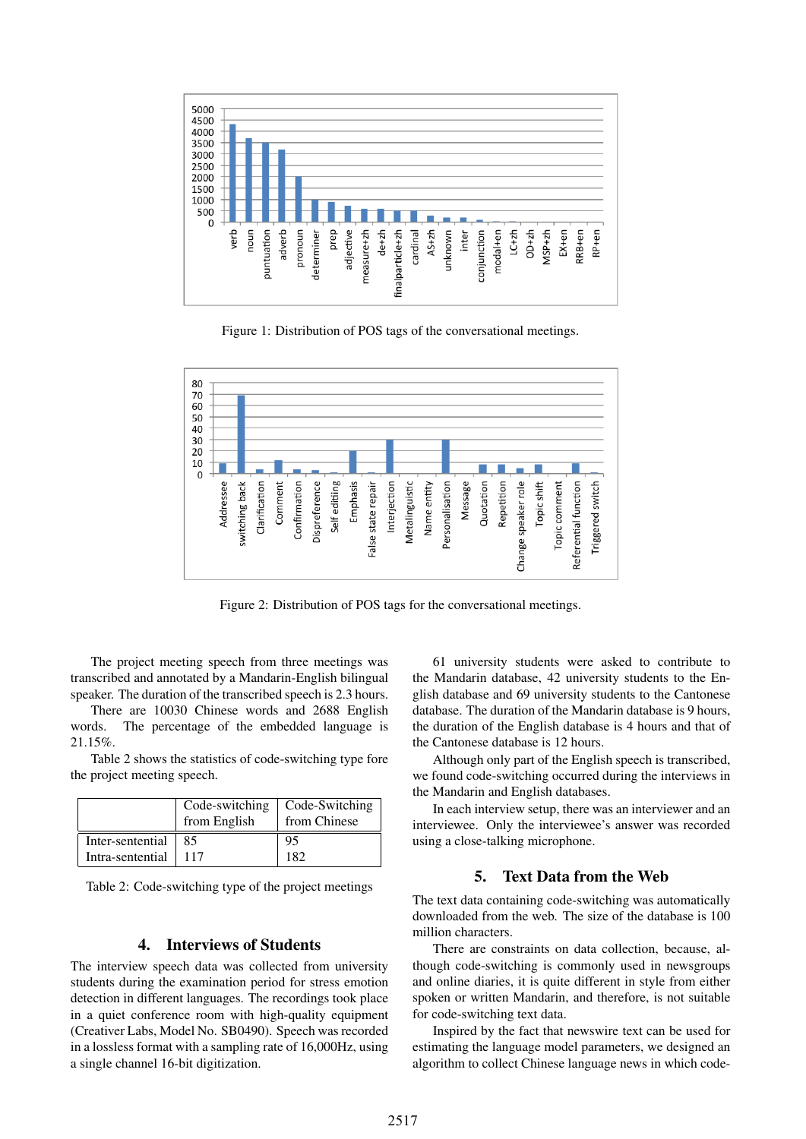

Figure 1: Distribution of POS tags of the conversational meetings.



Figure 2: Distribution of POS tags for the conversational meetings.

The project meeting speech from three meetings was transcribed and annotated by a Mandarin-English bilingual speaker. The duration of the transcribed speech is 2.3 hours.

There are 10030 Chinese words and 2688 English words. The percentage of the embedded language is 21.15%.

Table 2 shows the statistics of code-switching type fore the project meeting speech.

|                  | Code-switching | Code-Switching |  |
|------------------|----------------|----------------|--|
|                  | from English   | from Chinese   |  |
| Inter-sentential | 85             | 95             |  |
| Intra-sentential | 117            | 182            |  |

| Table 2: Code-switching type of the project meetings |  |  |
|------------------------------------------------------|--|--|
|                                                      |  |  |

#### 4. Interviews of Students

The interview speech data was collected from university students during the examination period for stress emotion detection in different languages. The recordings took place in a quiet conference room with high-quality equipment (Creativer Labs, Model No. SB0490). Speech was recorded in a lossless format with a sampling rate of 16,000Hz, using a single channel 16-bit digitization.

61 university students were asked to contribute to the Mandarin database, 42 university students to the English database and 69 university students to the Cantonese database. The duration of the Mandarin database is 9 hours, the duration of the English database is 4 hours and that of the Cantonese database is 12 hours.

Although only part of the English speech is transcribed, we found code-switching occurred during the interviews in the Mandarin and English databases.

In each interview setup, there was an interviewer and an interviewee. Only the interviewee's answer was recorded using a close-talking microphone.

## 5. Text Data from the Web

The text data containing code-switching was automatically downloaded from the web. The size of the database is 100 million characters.

There are constraints on data collection, because, although code-switching is commonly used in newsgroups and online diaries, it is quite different in style from either spoken or written Mandarin, and therefore, is not suitable for code-switching text data.

Inspired by the fact that newswire text can be used for estimating the language model parameters, we designed an algorithm to collect Chinese language news in which code-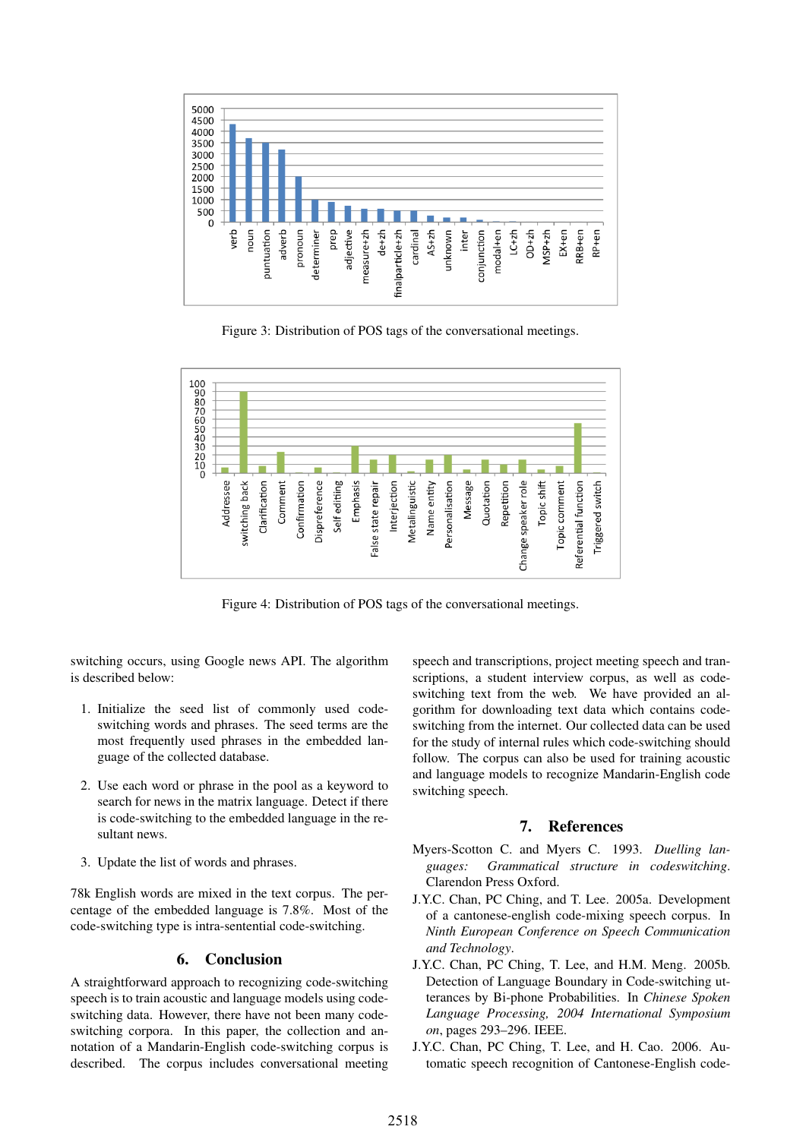

Figure 3: Distribution of POS tags of the conversational meetings.



Figure 4: Distribution of POS tags of the conversational meetings.

switching occurs, using Google news API. The algorithm is described below:

- 1. Initialize the seed list of commonly used codeswitching words and phrases. The seed terms are the most frequently used phrases in the embedded language of the collected database.
- 2. Use each word or phrase in the pool as a keyword to search for news in the matrix language. Detect if there is code-switching to the embedded language in the resultant news.
- 3. Update the list of words and phrases.

78k English words are mixed in the text corpus. The percentage of the embedded language is 7.8%. Most of the code-switching type is intra-sentential code-switching.

#### 6. Conclusion

A straightforward approach to recognizing code-switching speech is to train acoustic and language models using codeswitching data. However, there have not been many codeswitching corpora. In this paper, the collection and annotation of a Mandarin-English code-switching corpus is described. The corpus includes conversational meeting speech and transcriptions, project meeting speech and transcriptions, a student interview corpus, as well as codeswitching text from the web. We have provided an algorithm for downloading text data which contains codeswitching from the internet. Our collected data can be used for the study of internal rules which code-switching should follow. The corpus can also be used for training acoustic and language models to recognize Mandarin-English code switching speech.

## 7. References

- Myers-Scotton C. and Myers C. 1993. *Duelling languages: Grammatical structure in codeswitching*. Clarendon Press Oxford.
- J.Y.C. Chan, PC Ching, and T. Lee. 2005a. Development of a cantonese-english code-mixing speech corpus. In *Ninth European Conference on Speech Communication and Technology*.
- J.Y.C. Chan, PC Ching, T. Lee, and H.M. Meng. 2005b. Detection of Language Boundary in Code-switching utterances by Bi-phone Probabilities. In *Chinese Spoken Language Processing, 2004 International Symposium on*, pages 293–296. IEEE.
- J.Y.C. Chan, PC Ching, T. Lee, and H. Cao. 2006. Automatic speech recognition of Cantonese-English code-